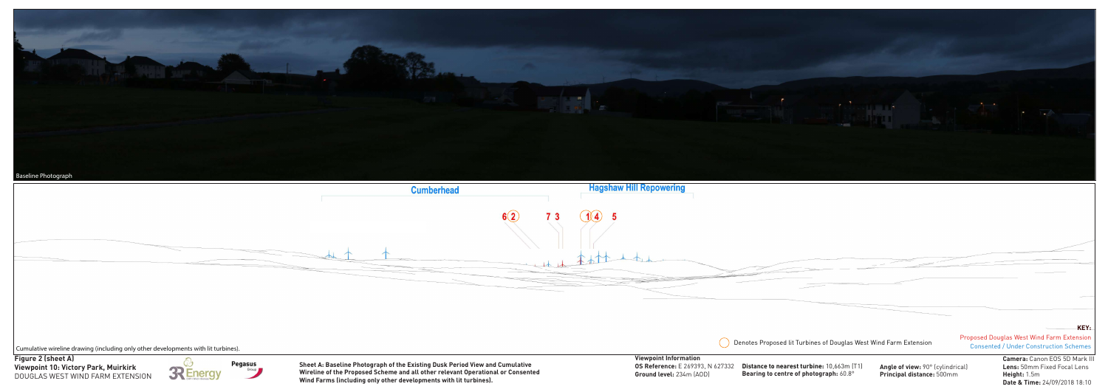**Date & Time:** 24/09/2018 18:10

| umberhead                                                                                 | <b>Hagshaw Hill Repowering</b>                                                                      |                                                                                            |                                                               |                                                                                             |
|-------------------------------------------------------------------------------------------|-----------------------------------------------------------------------------------------------------|--------------------------------------------------------------------------------------------|---------------------------------------------------------------|---------------------------------------------------------------------------------------------|
| 6(2)<br>-3                                                                                | 1(4)                                                                                                |                                                                                            |                                                               |                                                                                             |
|                                                                                           |                                                                                                     | Denotes Proposed lit Turbines of Douglas West Wind Farm Extension                          |                                                               | KEY.<br>Proposed Douglas West Wind Farm Extension<br>Consented / Under Construction Schemes |
| <b>sting Dusk Period View and Cumulative</b><br>I other relevant Operational or Consented | <b>Viewpoint Information</b><br><b>OS Reference:</b> E 269393, N 627332<br>Ground level: 234m (AOD) | Distance to nearest turbine: 10,663m (T1)<br><b>Bearing to centre of photograph: 60.8°</b> | Angle of view: 90° (cylindrical)<br>Principal distance: 500mm | Camera: Canon EOS 5D Mark III<br>Lens: 50mm Fixed Focal Lens<br>Height: 1.5m                |



DOUGLAS WEST WIND FARM EXTENSION



**Wind Farms (including only other developments with lit turbines).**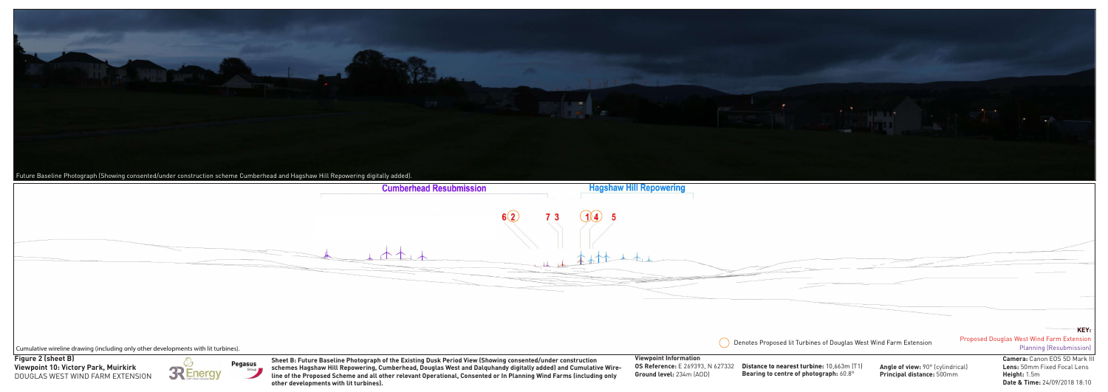Cumulative wireline drawing (including only other developments with lit turbines).

|          |                                              | <b>KEY:</b>                                                                        |
|----------|----------------------------------------------|------------------------------------------------------------------------------------|
|          | iglas West Wind Farm Extension               | <b>Proposed Douglas West Wind Farm Extension</b><br><b>Planning (Resubmission)</b> |
| .3m [T1] | Angle of view. 90 <sup>o</sup> (cylindrical) | <b>Camera: Canon EOS 5D Mark III</b><br><b>Lans</b> : 50mm Fived Foral Lans        |





**Distance to nearest turbine: 10,663 Bearing to centre of photograph:** 60.8°

**Angle of view:** 90° (cylindrical) **Principal distance:** 500mm

**Viewpoint 10: Victory Park, Muirkirk Figure 2 (sheet B)** DOUGLAS WEST WIND FARM EXTENSION



**Pegasus** Group

**Lens:** 50mm Fixed Focal Lens **Height:** 1.5m **Date & Time:** 24/09/2018 18:10

## **Viewpoint Information OS Reference:** E 269393, N 627332 **Ground level:** 234m (AOD)

**Denotes Proposed lit Turbines of Douglas II** 

**Sheet B: Future Baseline Photograph of the Existing Dusk Period View (Showing consented/under construction schemes Hagshaw Hill Repowering, Cumberhead, Douglas West and Dalquhandy digitally added) and Cumulative Wireline of the Proposed Scheme and all other relevant Operational, Consented or In Planning Wind Farms (including only other developments with lit turbines).**

| ad Resubmission | <b>Hagshaw Hill Repowering</b> |  |
|-----------------|--------------------------------|--|
|                 | 6(2)                           |  |
|                 |                                |  |
|                 |                                |  |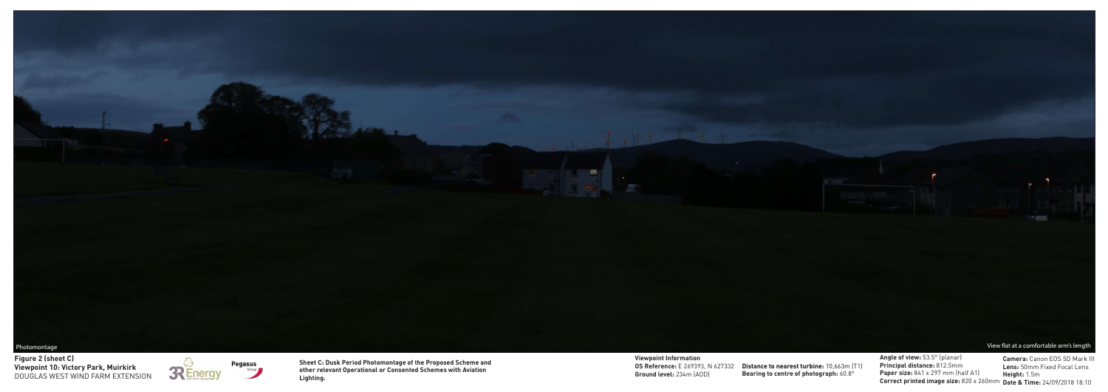Photomontage View flat at a comfortable arm's length

**Distance to nearest turbine:** 10,663m (T1) **Bearing to centre of photograph:**  $60.8^{\circ}$ 

 $\sim$ 

**Angle of view:** 53.5° (planar) **Principal distance:** 812.5mm **Paper size:** 841 x 297 mm (half A1) **Correct printed image size:** 820 x 260mm **Date & Time:** 24/09/2018 18:10



**Viewpoint 10: Victory Park, Muirkirk Figure 2 (sheet C)** DOUGLAS WEST WIND FARM EXTENSION





**Camera:** Canon EOS 5D Mark III **Lens:** 50mm Fixed Focal Lens **Height:** 1.5m

**Viewpoint Information OS Reference:** E 269393, N 627332 **Ground level:** 234m (AOD)

**Sheet C: Dusk Period Photomontage of the Proposed Scheme and other relevant Operational or Consented Schemes with Aviation Lighting.**